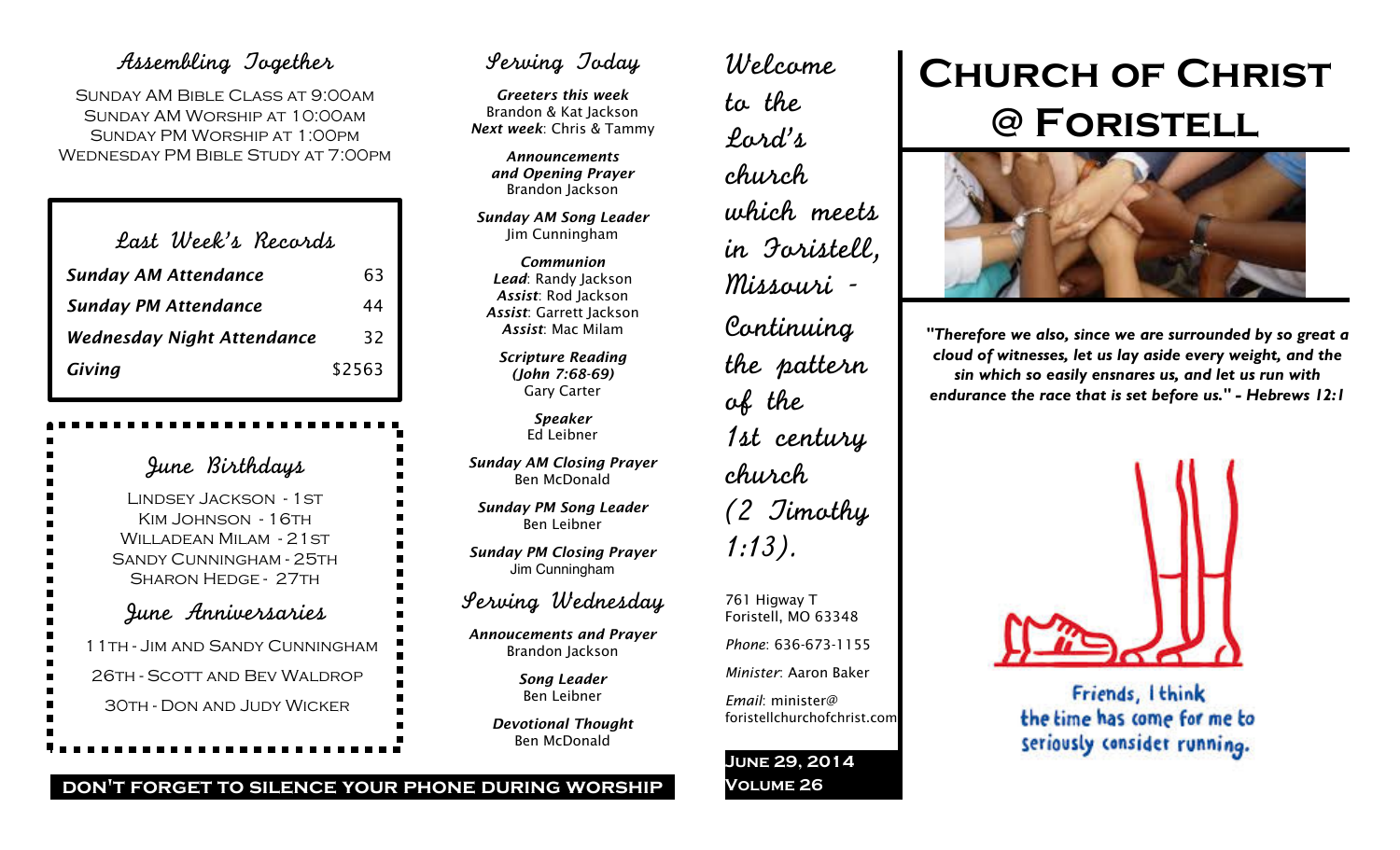## Assembling Together

SUNDAY AM BIBLE CLASS AT 9:00AM Sunday AM Worship at 10:00am Sunday PM Worship at 1:00pm Wednesday PM Bible Study at 7:00pm

| Last Week's Records               |        |
|-----------------------------------|--------|
| <b>Sunday AM Attendance</b>       | 63     |
| <b>Sunday PM Attendance</b>       | 44     |
| <b>Wednesday Night Attendance</b> | 32     |
| Giving                            | \$2563 |

June Birthdays Lindsey Jackson - 1st KIM JOHNSON - 16TH WILLADEAN MILAM - 21 ST Sandy Cunningham - 25th Sharon Hedge - 27th June Anniversaries 11th - Jim and Sandy Cunningham 26th - Scott and Bev Waldrop 30th - Don and Judy Wicker

## Serving Today

*Greeters this week* Brandon & Kat Jackson *Next week*: Chris & Tammy

> *Announcements and Opening Prayer* Brandon Jackson

*Sunday AM Song Leader* Jim Cunningham

*Communion Lead*: Randy Jackson *Assist*: Rod Jackson *Assist*: Garrett Jackson *Assist*: Mac Milam

*Scripture Reading (John 7:68-69)* Gary Carter

> *Speaker* Ed Leibner

*Sunday AM Closing Prayer* Ben McDonald

*Sunday PM Song Leader* Ben Leibner

*Sunday PM Closing Prayer* Jim Cunningham

## Serving Wednesday

*Annoucements and Prayer* Brandon Jackson

> *Song Leader* Ben Leibner

*Devotional Thought* Ben McDonald

Welcome to the Lord's church which meets in Foristell, Missouri - Continuing the pattern of the 1st century church (2 Timothy 1:13).

761 Higway T Foristell, MO 63348

*Phone*: 636-673-1155

*Minister*: Aaron Baker

foristellchurchofchrist.com

*Email*: minister@

**June 29, 2014**

**Volume 26**

# **Church of Christ @ Foristell**



*"Therefore we also, since we are surrounded by so great a cloud of witnesses, let us lay aside every weight, and the sin which so easily ensnares us, and let us run with endurance the race that is set before us." - Hebrews 12:1*



Friends, Ithink the time has come for me to seriously consider running.

#### **don't forget to silence your phone during worship**